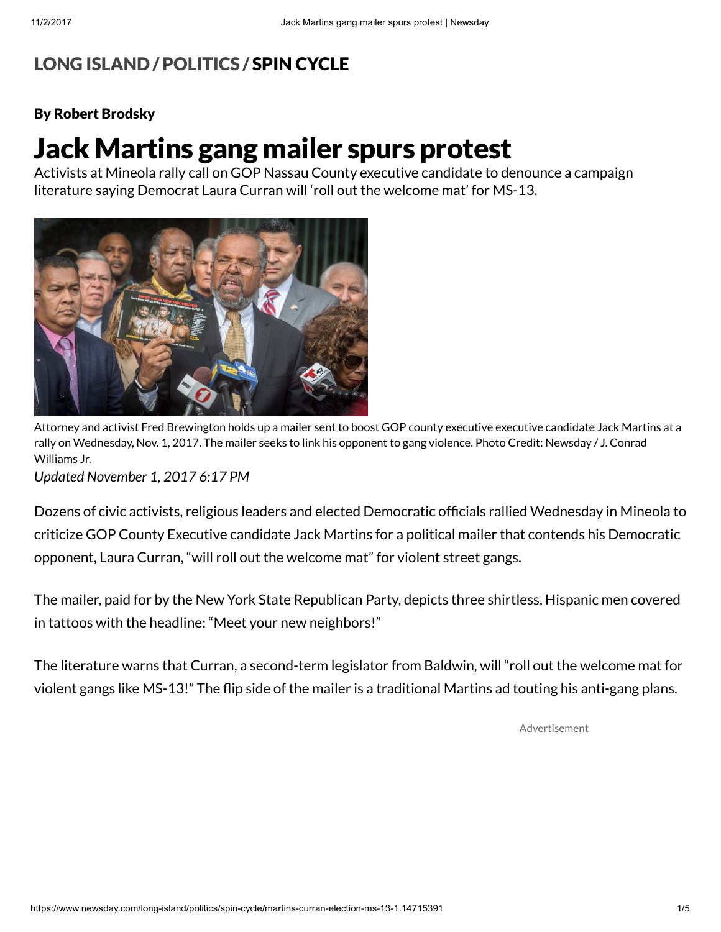## LONG [ISLAND](https://www.newsday.com/long-island) /[POLITICS](https://www.newsday.com/long-island/politics) / SPIN [CYCLE](https://www.newsday.com/long-island/politics/spin-cycle)

## By Robert Brodsky

## Jack Martins gang mailer spurs protest

Activists at Mineola rally call on GOP Nassau County executive candidate to denounce a campaign literature saying Democrat Laura Curran will 'roll out the welcome mat' for MS-13.



Attorney and activist Fred Brewington holds up a mailer sent to boost GOP county executive executive candidate Jack Martins at a rally on Wednesday, Nov. 1, 2017. The mailer seeks to link his opponent to gang violence. Photo Credit: Newsday / J. Conrad Williams Jr.

Updated November 1, 2017 6:17 PM

Dozens of civic activists, religious leaders and elected Democratic officials rallied Wednesday in Mineola to criticize GOP County Executive candidate Jack Martins for a political mailer that contends his Democratic opponent, Laura Curran, "will roll out the welcome mat" for violent street gangs.

The mailer, paid for by the New York State Republican Party, depicts three shirtless, Hispanic men covered in tattoos with the headline: "Meet your new neighbors!"

The literature warns that Curran, a second-term legislator from Baldwin, will "roll out the welcome mat for violent gangs like MS-13!" The flip side of the mailer is a traditional Martins ad touting his anti-gang plans.

Advertisement